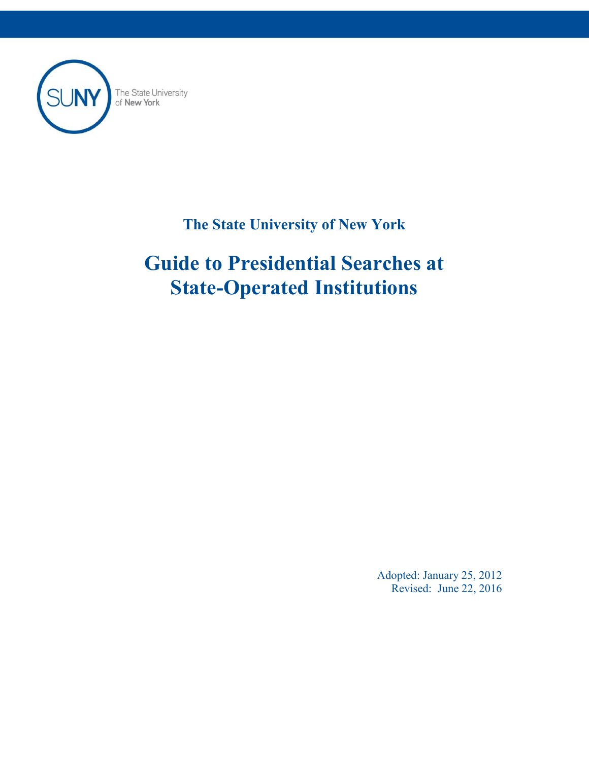

The State University<br>of **New York** 

# **The State University of New York**

# **Guide to Presidential Searches at State-Operated Institutions**

Adopted: January 25, 2012 Revised: June 22, 2016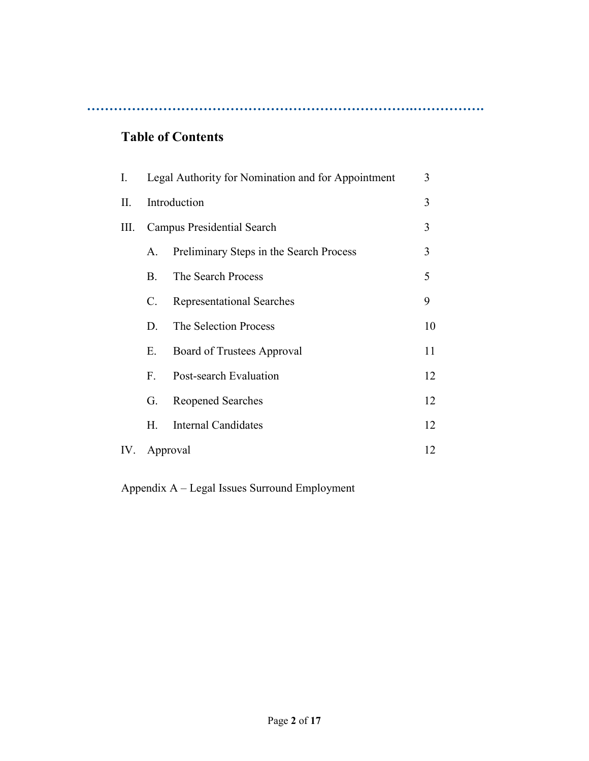**……………………………………………………………….…………….**

# **Table of Contents**

| I.  | Legal Authority for Nomination and for Appointment |                                         | 3  |
|-----|----------------------------------------------------|-----------------------------------------|----|
| П.  | Introduction                                       |                                         | 3  |
| Ш.  | Campus Presidential Search                         |                                         | 3  |
|     | А.                                                 | Preliminary Steps in the Search Process | 3  |
|     | $\mathbf{B}$                                       | The Search Process                      | 5  |
|     | C.                                                 | <b>Representational Searches</b>        | 9  |
|     | D.                                                 | The Selection Process                   | 10 |
|     | Е.                                                 | Board of Trustees Approval              | 11 |
|     | $F_{-}$                                            | Post-search Evaluation                  | 12 |
|     | G.                                                 | <b>Reopened Searches</b>                | 12 |
|     | Н.                                                 | Internal Candidates                     | 12 |
| IV. | Approval                                           |                                         | 12 |

Appendix A – Legal Issues Surround Employment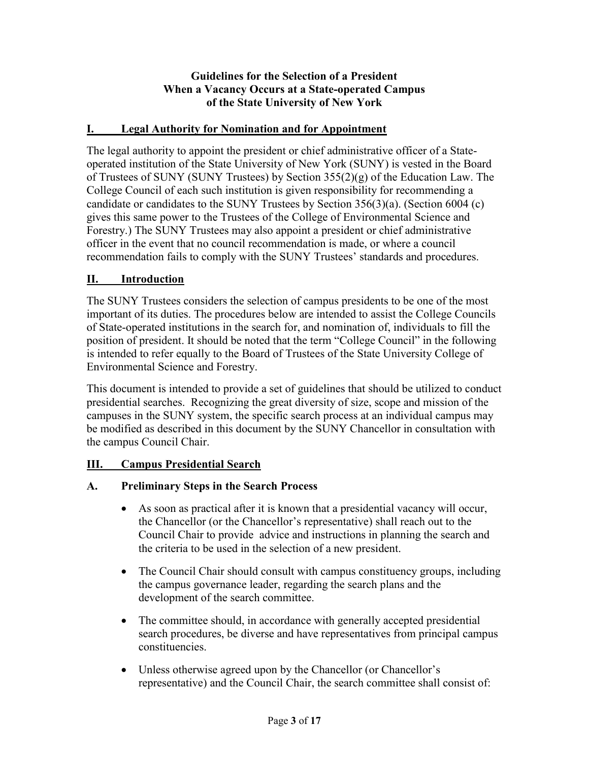#### **Guidelines for the Selection of a President When a Vacancy Occurs at a State-operated Campus of the State University of New York**

#### **I. Legal Authority for Nomination and for Appointment**

The legal authority to appoint the president or chief administrative officer of a Stateoperated institution of the State University of New York (SUNY) is vested in the Board of Trustees of SUNY (SUNY Trustees) by Section 355(2)(g) of the Education Law. The College Council of each such institution is given responsibility for recommending a candidate or candidates to the SUNY Trustees by Section 356(3)(a). (Section 6004 (c) gives this same power to the Trustees of the College of Environmental Science and Forestry.) The SUNY Trustees may also appoint a president or chief administrative officer in the event that no council recommendation is made, or where a council recommendation fails to comply with the SUNY Trustees' standards and procedures.

#### **II. Introduction**

The SUNY Trustees considers the selection of campus presidents to be one of the most important of its duties. The procedures below are intended to assist the College Councils of State-operated institutions in the search for, and nomination of, individuals to fill the position of president. It should be noted that the term "College Council" in the following is intended to refer equally to the Board of Trustees of the State University College of Environmental Science and Forestry.

This document is intended to provide a set of guidelines that should be utilized to conduct presidential searches. Recognizing the great diversity of size, scope and mission of the campuses in the SUNY system, the specific search process at an individual campus may be modified as described in this document by the SUNY Chancellor in consultation with the campus Council Chair.

#### **III. Campus Presidential Search**

#### **A. Preliminary Steps in the Search Process**

- As soon as practical after it is known that a presidential vacancy will occur, the Chancellor (or the Chancellor's representative) shall reach out to the Council Chair to provide advice and instructions in planning the search and the criteria to be used in the selection of a new president.
- The Council Chair should consult with campus constituency groups, including the campus governance leader, regarding the search plans and the development of the search committee.
- The committee should, in accordance with generally accepted presidential search procedures, be diverse and have representatives from principal campus constituencies.
- Unless otherwise agreed upon by the Chancellor (or Chancellor's representative) and the Council Chair, the search committee shall consist of: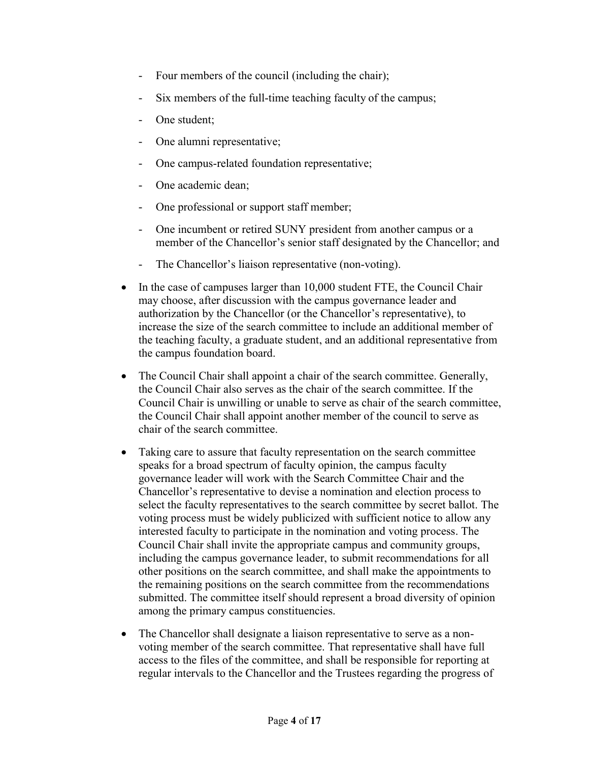- Four members of the council (including the chair);
- Six members of the full-time teaching faculty of the campus;
- One student;
- One alumni representative;
- One campus-related foundation representative;
- One academic dean;
- One professional or support staff member;
- One incumbent or retired SUNY president from another campus or a member of the Chancellor's senior staff designated by the Chancellor; and
- The Chancellor's liaison representative (non-voting).
- In the case of campuses larger than 10,000 student FTE, the Council Chair may choose, after discussion with the campus governance leader and authorization by the Chancellor (or the Chancellor's representative), to increase the size of the search committee to include an additional member of the teaching faculty, a graduate student, and an additional representative from the campus foundation board.
- The Council Chair shall appoint a chair of the search committee. Generally, the Council Chair also serves as the chair of the search committee. If the Council Chair is unwilling or unable to serve as chair of the search committee, the Council Chair shall appoint another member of the council to serve as chair of the search committee.
- Taking care to assure that faculty representation on the search committee speaks for a broad spectrum of faculty opinion, the campus faculty governance leader will work with the Search Committee Chair and the Chancellor's representative to devise a nomination and election process to select the faculty representatives to the search committee by secret ballot. The voting process must be widely publicized with sufficient notice to allow any interested faculty to participate in the nomination and voting process. The Council Chair shall invite the appropriate campus and community groups, including the campus governance leader, to submit recommendations for all other positions on the search committee, and shall make the appointments to the remaining positions on the search committee from the recommendations submitted. The committee itself should represent a broad diversity of opinion among the primary campus constituencies.
- The Chancellor shall designate a liaison representative to serve as a nonvoting member of the search committee. That representative shall have full access to the files of the committee, and shall be responsible for reporting at regular intervals to the Chancellor and the Trustees regarding the progress of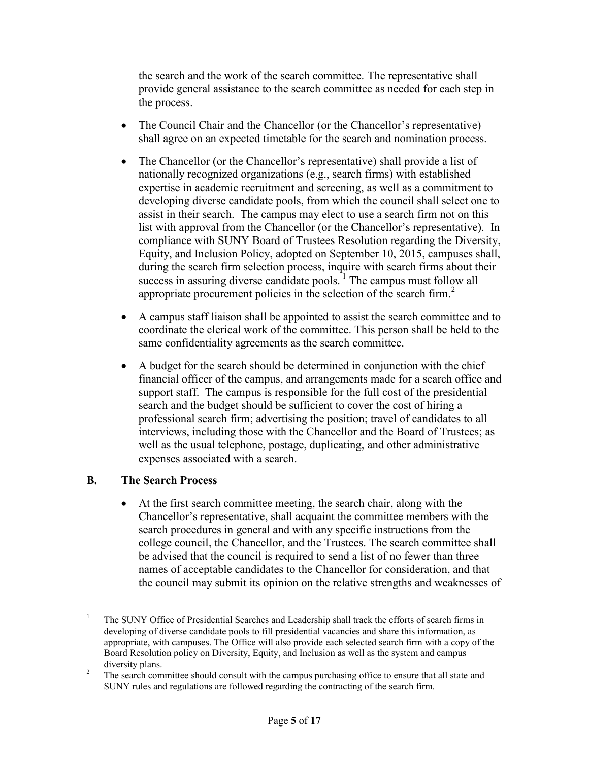the search and the work of the search committee. The representative shall provide general assistance to the search committee as needed for each step in the process.

- The Council Chair and the Chancellor (or the Chancellor's representative) shall agree on an expected timetable for the search and nomination process.
- The Chancellor (or the Chancellor's representative) shall provide a list of nationally recognized organizations (e.g., search firms) with established expertise in academic recruitment and screening, as well as a commitment to developing diverse candidate pools, from which the council shall select one to assist in their search. The campus may elect to use a search firm not on this list with approval from the Chancellor (or the Chancellor's representative). In compliance with SUNY Board of Trustees Resolution regarding the Diversity, Equity, and Inclusion Policy, adopted on September 10, 2015, campuses shall, during the search firm selection process, inquire with search firms about their success in assuring diverse candidate pools.<sup>1</sup> The campus must follow all appropriate procurement policies in the selection of the search firm.<sup>2</sup>
- A campus staff liaison shall be appointed to assist the search committee and to coordinate the clerical work of the committee. This person shall be held to the same confidentiality agreements as the search committee.
- A budget for the search should be determined in conjunction with the chief financial officer of the campus, and arrangements made for a search office and support staff. The campus is responsible for the full cost of the presidential search and the budget should be sufficient to cover the cost of hiring a professional search firm; advertising the position; travel of candidates to all interviews, including those with the Chancellor and the Board of Trustees; as well as the usual telephone, postage, duplicating, and other administrative expenses associated with a search.

#### **B. The Search Process**

 $\overline{a}$ 

 At the first search committee meeting, the search chair, along with the Chancellor's representative, shall acquaint the committee members with the search procedures in general and with any specific instructions from the college council, the Chancellor, and the Trustees. The search committee shall be advised that the council is required to send a list of no fewer than three names of acceptable candidates to the Chancellor for consideration, and that the council may submit its opinion on the relative strengths and weaknesses of

<sup>1</sup> The SUNY Office of Presidential Searches and Leadership shall track the efforts of search firms in developing of diverse candidate pools to fill presidential vacancies and share this information, as appropriate, with campuses. The Office will also provide each selected search firm with a copy of the Board Resolution policy on Diversity, Equity, and Inclusion as well as the system and campus diversity plans.

<sup>&</sup>lt;sup>2</sup> The search committee should consult with the campus purchasing office to ensure that all state and SUNY rules and regulations are followed regarding the contracting of the search firm.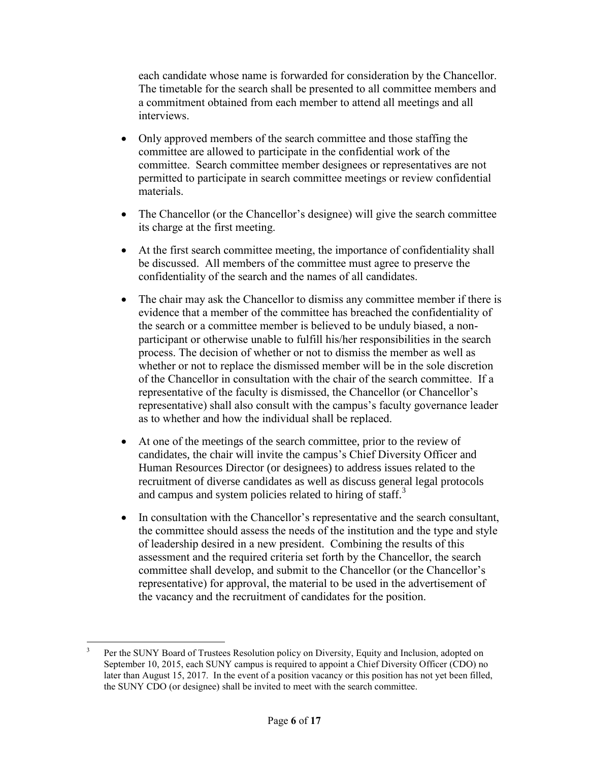each candidate whose name is forwarded for consideration by the Chancellor. The timetable for the search shall be presented to all committee members and a commitment obtained from each member to attend all meetings and all interviews.

- Only approved members of the search committee and those staffing the committee are allowed to participate in the confidential work of the committee. Search committee member designees or representatives are not permitted to participate in search committee meetings or review confidential materials.
- The Chancellor (or the Chancellor's designee) will give the search committee its charge at the first meeting.
- At the first search committee meeting, the importance of confidentiality shall be discussed. All members of the committee must agree to preserve the confidentiality of the search and the names of all candidates.
- The chair may ask the Chancellor to dismiss any committee member if there is evidence that a member of the committee has breached the confidentiality of the search or a committee member is believed to be unduly biased, a nonparticipant or otherwise unable to fulfill his/her responsibilities in the search process. The decision of whether or not to dismiss the member as well as whether or not to replace the dismissed member will be in the sole discretion of the Chancellor in consultation with the chair of the search committee. If a representative of the faculty is dismissed, the Chancellor (or Chancellor's representative) shall also consult with the campus's faculty governance leader as to whether and how the individual shall be replaced.
- At one of the meetings of the search committee, prior to the review of candidates, the chair will invite the campus's Chief Diversity Officer and Human Resources Director (or designees) to address issues related to the recruitment of diverse candidates as well as discuss general legal protocols and campus and system policies related to hiring of staff.<sup>3</sup>
- In consultation with the Chancellor's representative and the search consultant, the committee should assess the needs of the institution and the type and style of leadership desired in a new president. Combining the results of this assessment and the required criteria set forth by the Chancellor, the search committee shall develop, and submit to the Chancellor (or the Chancellor's representative) for approval, the material to be used in the advertisement of the vacancy and the recruitment of candidates for the position.

<sup>&</sup>lt;sup>2</sup><br>3 Per the SUNY Board of Trustees Resolution policy on Diversity, Equity and Inclusion, adopted on September 10, 2015, each SUNY campus is required to appoint a Chief Diversity Officer (CDO) no later than August 15, 2017. In the event of a position vacancy or this position has not yet been filled, the SUNY CDO (or designee) shall be invited to meet with the search committee.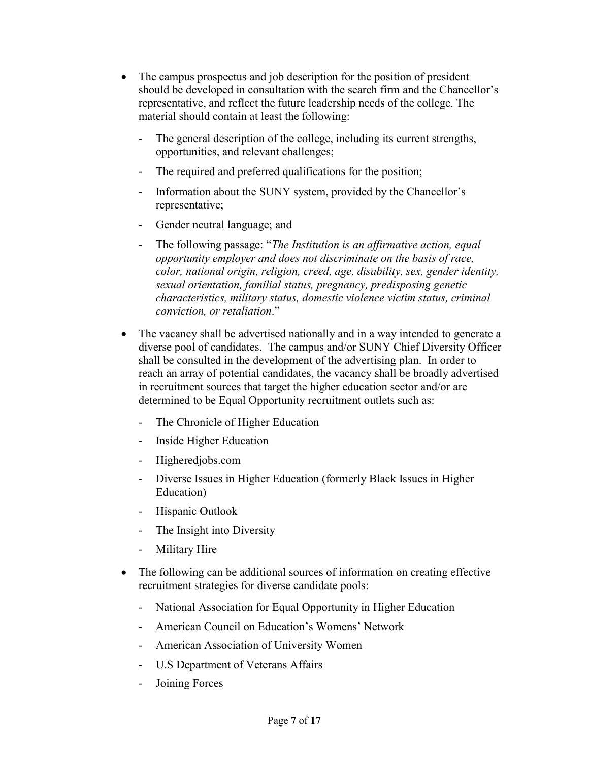- The campus prospectus and job description for the position of president should be developed in consultation with the search firm and the Chancellor's representative, and reflect the future leadership needs of the college. The material should contain at least the following:
	- The general description of the college, including its current strengths, opportunities, and relevant challenges;
	- The required and preferred qualifications for the position;
	- Information about the SUNY system, provided by the Chancellor's representative;
	- Gender neutral language; and
	- The following passage: "*The Institution is an affirmative action, equal opportunity employer and does not discriminate on the basis of race, color, national origin, religion, creed, age, disability, sex, gender identity, sexual orientation, familial status, pregnancy, predisposing genetic characteristics, military status, domestic violence victim status, criminal conviction, or retaliation*."
- The vacancy shall be advertised nationally and in a way intended to generate a diverse pool of candidates. The campus and/or SUNY Chief Diversity Officer shall be consulted in the development of the advertising plan. In order to reach an array of potential candidates, the vacancy shall be broadly advertised in recruitment sources that target the higher education sector and/or are determined to be Equal Opportunity recruitment outlets such as:
	- The Chronicle of Higher Education
	- Inside Higher Education
	- Higheredjobs.com
	- Diverse Issues in Higher Education (formerly Black Issues in Higher Education)
	- Hispanic Outlook
	- The Insight into Diversity
	- Military Hire
- The following can be additional sources of information on creating effective recruitment strategies for diverse candidate pools:
	- National Association for Equal Opportunity in Higher Education
	- American Council on Education's Womens' Network
	- American Association of University Women
	- U.S Department of Veterans Affairs
	- Joining Forces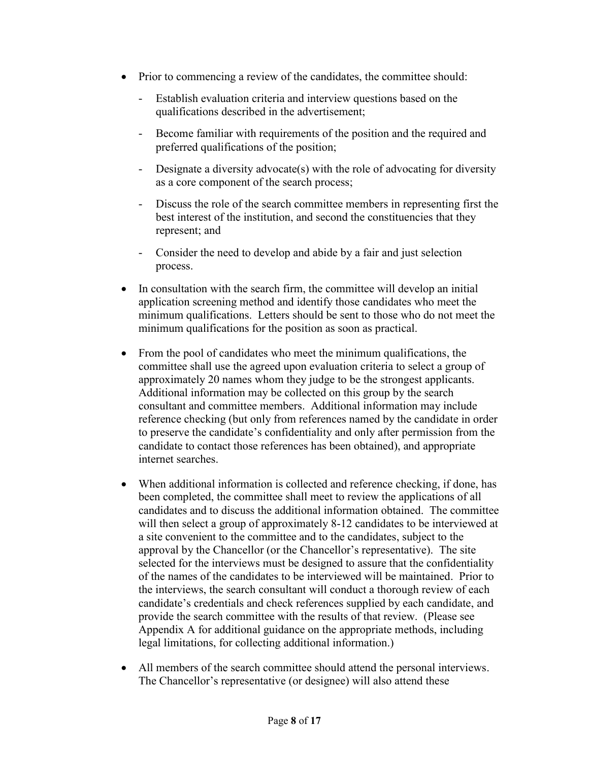- Prior to commencing a review of the candidates, the committee should:
	- Establish evaluation criteria and interview questions based on the qualifications described in the advertisement;
	- Become familiar with requirements of the position and the required and preferred qualifications of the position;
	- Designate a diversity advocate(s) with the role of advocating for diversity as a core component of the search process;
	- Discuss the role of the search committee members in representing first the best interest of the institution, and second the constituencies that they represent; and
	- Consider the need to develop and abide by a fair and just selection process.
- In consultation with the search firm, the committee will develop an initial application screening method and identify those candidates who meet the minimum qualifications. Letters should be sent to those who do not meet the minimum qualifications for the position as soon as practical.
- From the pool of candidates who meet the minimum qualifications, the committee shall use the agreed upon evaluation criteria to select a group of approximately 20 names whom they judge to be the strongest applicants. Additional information may be collected on this group by the search consultant and committee members. Additional information may include reference checking (but only from references named by the candidate in order to preserve the candidate's confidentiality and only after permission from the candidate to contact those references has been obtained), and appropriate internet searches.
- When additional information is collected and reference checking, if done, has been completed, the committee shall meet to review the applications of all candidates and to discuss the additional information obtained. The committee will then select a group of approximately 8-12 candidates to be interviewed at a site convenient to the committee and to the candidates, subject to the approval by the Chancellor (or the Chancellor's representative). The site selected for the interviews must be designed to assure that the confidentiality of the names of the candidates to be interviewed will be maintained. Prior to the interviews, the search consultant will conduct a thorough review of each candidate's credentials and check references supplied by each candidate, and provide the search committee with the results of that review. (Please see Appendix A for additional guidance on the appropriate methods, including legal limitations, for collecting additional information.)
- All members of the search committee should attend the personal interviews. The Chancellor's representative (or designee) will also attend these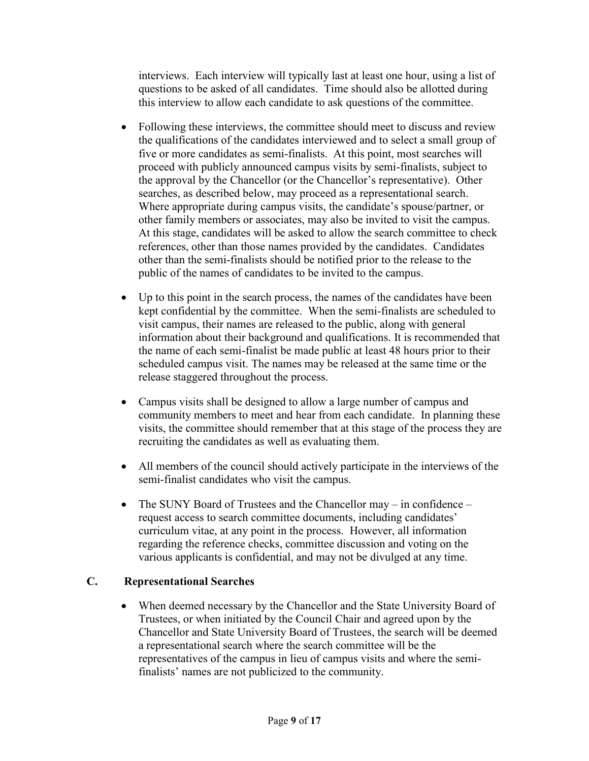interviews. Each interview will typically last at least one hour, using a list of questions to be asked of all candidates. Time should also be allotted during this interview to allow each candidate to ask questions of the committee.

- Following these interviews, the committee should meet to discuss and review the qualifications of the candidates interviewed and to select a small group of five or more candidates as semi-finalists. At this point, most searches will proceed with publicly announced campus visits by semi-finalists, subject to the approval by the Chancellor (or the Chancellor's representative). Other searches, as described below, may proceed as a representational search. Where appropriate during campus visits, the candidate's spouse/partner, or other family members or associates, may also be invited to visit the campus. At this stage, candidates will be asked to allow the search committee to check references, other than those names provided by the candidates. Candidates other than the semi-finalists should be notified prior to the release to the public of the names of candidates to be invited to the campus.
- Up to this point in the search process, the names of the candidates have been kept confidential by the committee. When the semi-finalists are scheduled to visit campus, their names are released to the public, along with general information about their background and qualifications. It is recommended that the name of each semi-finalist be made public at least 48 hours prior to their scheduled campus visit. The names may be released at the same time or the release staggered throughout the process.
- Campus visits shall be designed to allow a large number of campus and community members to meet and hear from each candidate. In planning these visits, the committee should remember that at this stage of the process they are recruiting the candidates as well as evaluating them.
- All members of the council should actively participate in the interviews of the semi-finalist candidates who visit the campus.
- The SUNY Board of Trustees and the Chancellor may in confidence request access to search committee documents, including candidates' curriculum vitae, at any point in the process. However, all information regarding the reference checks, committee discussion and voting on the various applicants is confidential, and may not be divulged at any time.

#### **C. Representational Searches**

• When deemed necessary by the Chancellor and the State University Board of Trustees, or when initiated by the Council Chair and agreed upon by the Chancellor and State University Board of Trustees, the search will be deemed a representational search where the search committee will be the representatives of the campus in lieu of campus visits and where the semifinalists' names are not publicized to the community.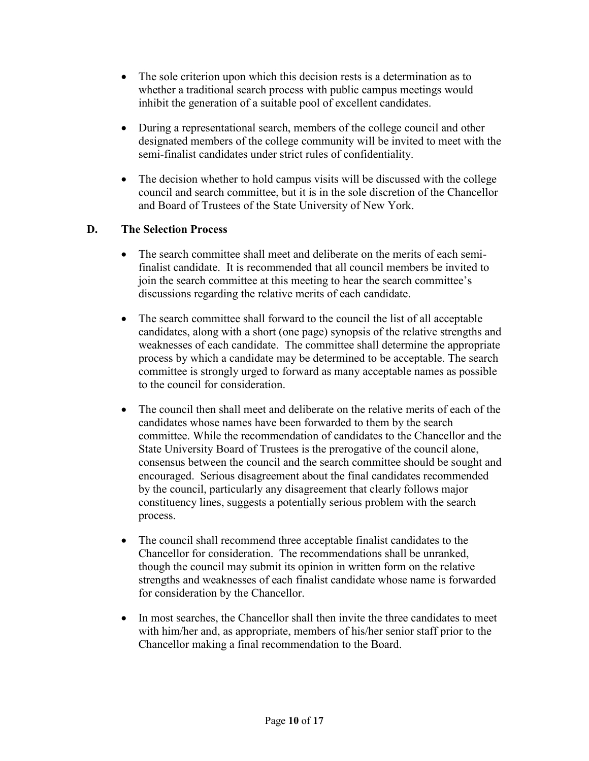- The sole criterion upon which this decision rests is a determination as to whether a traditional search process with public campus meetings would inhibit the generation of a suitable pool of excellent candidates.
- During a representational search, members of the college council and other designated members of the college community will be invited to meet with the semi-finalist candidates under strict rules of confidentiality.
- The decision whether to hold campus visits will be discussed with the college council and search committee, but it is in the sole discretion of the Chancellor and Board of Trustees of the State University of New York.

#### **D. The Selection Process**

- The search committee shall meet and deliberate on the merits of each semifinalist candidate. It is recommended that all council members be invited to join the search committee at this meeting to hear the search committee's discussions regarding the relative merits of each candidate.
- The search committee shall forward to the council the list of all acceptable candidates, along with a short (one page) synopsis of the relative strengths and weaknesses of each candidate. The committee shall determine the appropriate process by which a candidate may be determined to be acceptable. The search committee is strongly urged to forward as many acceptable names as possible to the council for consideration.
- The council then shall meet and deliberate on the relative merits of each of the candidates whose names have been forwarded to them by the search committee. While the recommendation of candidates to the Chancellor and the State University Board of Trustees is the prerogative of the council alone, consensus between the council and the search committee should be sought and encouraged. Serious disagreement about the final candidates recommended by the council, particularly any disagreement that clearly follows major constituency lines, suggests a potentially serious problem with the search process.
- The council shall recommend three acceptable finalist candidates to the Chancellor for consideration. The recommendations shall be unranked, though the council may submit its opinion in written form on the relative strengths and weaknesses of each finalist candidate whose name is forwarded for consideration by the Chancellor.
- In most searches, the Chancellor shall then invite the three candidates to meet with him/her and, as appropriate, members of his/her senior staff prior to the Chancellor making a final recommendation to the Board.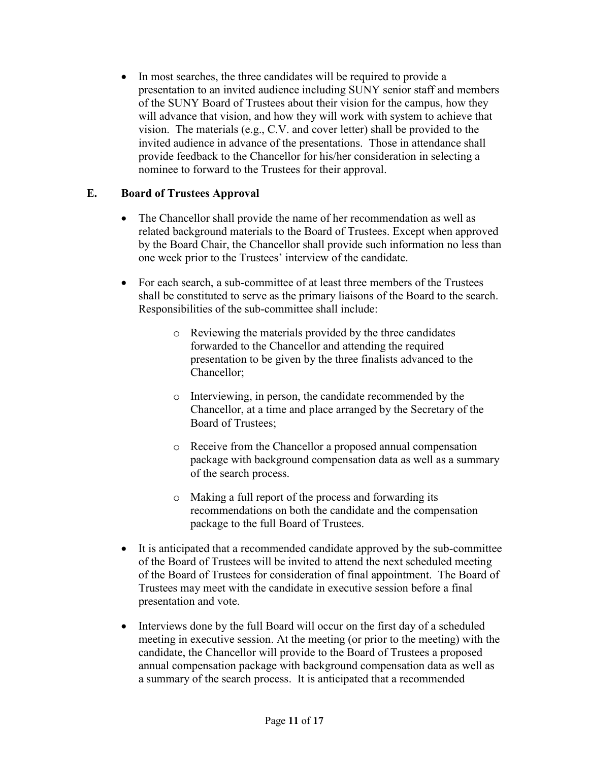• In most searches, the three candidates will be required to provide a presentation to an invited audience including SUNY senior staff and members of the SUNY Board of Trustees about their vision for the campus, how they will advance that vision, and how they will work with system to achieve that vision. The materials (e.g., C.V. and cover letter) shall be provided to the invited audience in advance of the presentations. Those in attendance shall provide feedback to the Chancellor for his/her consideration in selecting a nominee to forward to the Trustees for their approval.

#### **E. Board of Trustees Approval**

- The Chancellor shall provide the name of her recommendation as well as related background materials to the Board of Trustees. Except when approved by the Board Chair, the Chancellor shall provide such information no less than one week prior to the Trustees' interview of the candidate.
- For each search, a sub-committee of at least three members of the Trustees shall be constituted to serve as the primary liaisons of the Board to the search. Responsibilities of the sub-committee shall include:
	- o Reviewing the materials provided by the three candidates forwarded to the Chancellor and attending the required presentation to be given by the three finalists advanced to the Chancellor;
	- o Interviewing, in person, the candidate recommended by the Chancellor, at a time and place arranged by the Secretary of the Board of Trustees;
	- o Receive from the Chancellor a proposed annual compensation package with background compensation data as well as a summary of the search process.
	- o Making a full report of the process and forwarding its recommendations on both the candidate and the compensation package to the full Board of Trustees.
- It is anticipated that a recommended candidate approved by the sub-committee of the Board of Trustees will be invited to attend the next scheduled meeting of the Board of Trustees for consideration of final appointment. The Board of Trustees may meet with the candidate in executive session before a final presentation and vote.
- Interviews done by the full Board will occur on the first day of a scheduled meeting in executive session. At the meeting (or prior to the meeting) with the candidate, the Chancellor will provide to the Board of Trustees a proposed annual compensation package with background compensation data as well as a summary of the search process. It is anticipated that a recommended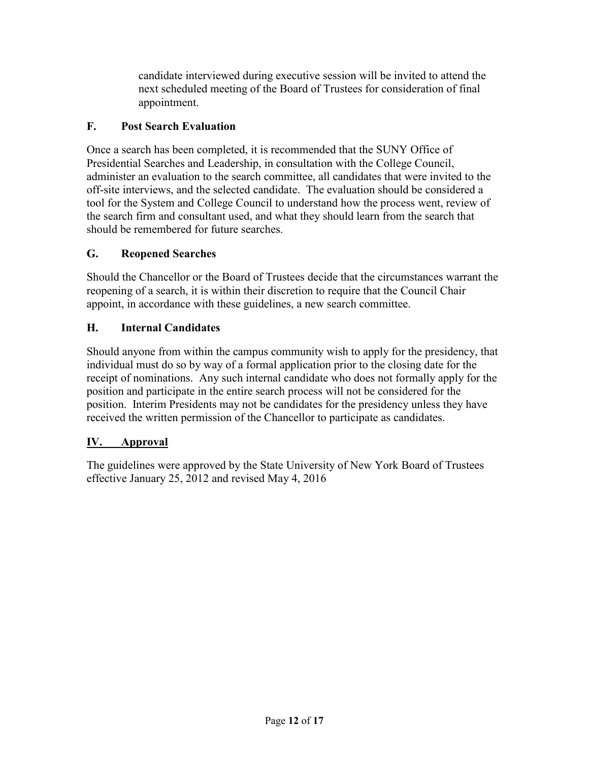candidate interviewed during executive session will be invited to attend the next scheduled meeting of the Board of Trustees for consideration of final appointment.

### **F. Post Search Evaluation**

Once a search has been completed, it is recommended that the SUNY Office of Presidential Searches and Leadership, in consultation with the College Council, administer an evaluation to the search committee, all candidates that were invited to the off-site interviews, and the selected candidate. The evaluation should be considered a tool for the System and College Council to understand how the process went, review of the search firm and consultant used, and what they should learn from the search that should be remembered for future searches.

## **G. Reopened Searches**

Should the Chancellor or the Board of Trustees decide that the circumstances warrant the reopening of a search, it is within their discretion to require that the Council Chair appoint, in accordance with these guidelines, a new search committee.

## **H. Internal Candidates**

Should anyone from within the campus community wish to apply for the presidency, that individual must do so by way of a formal application prior to the closing date for the receipt of nominations. Any such internal candidate who does not formally apply for the position and participate in the entire search process will not be considered for the position. Interim Presidents may not be candidates for the presidency unless they have received the written permission of the Chancellor to participate as candidates.

#### **IV. Approval**

The guidelines were approved by the State University of New York Board of Trustees effective January 25, 2012 and revised May 4, 2016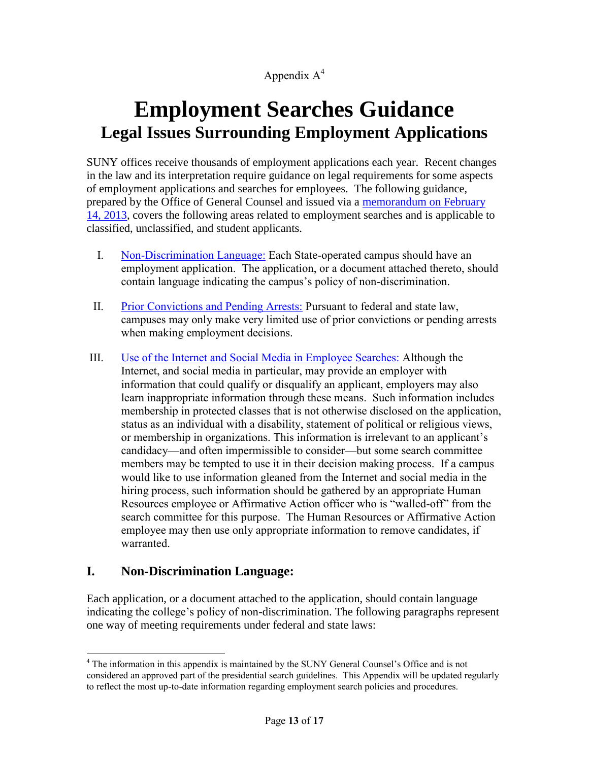## Appendix  $A^4$

# **Employment Searches Guidance Legal Issues Surrounding Employment Applications**

SUNY offices receive thousands of employment applications each year. Recent changes in the law and its interpretation require guidance on legal requirements for some aspects of employment applications and searches for employees. The following guidance, prepared by the Office of General Counsel and issued via a [memorandum on February](http://system.suny.edu/media/suny/content-assets/documents/compliance/employee-relations/Legal-Issues-Surrounding-Employment-Searches-Guidance.pdf)  [14, 2013,](http://system.suny.edu/media/suny/content-assets/documents/compliance/employee-relations/Legal-Issues-Surrounding-Employment-Searches-Guidance.pdf) covers the following areas related to employment searches and is applicable to classified, unclassified, and student applicants.

- I. [Non-Discrimination Language:](http://system.suny.edu/compliance/topics/employee-hr-compliance/employment-searches-guidance/#non) Each State-operated campus should have an employment application. The application, or a document attached thereto, should contain language indicating the campus's policy of non-discrimination.
- II. [Prior Convictions and Pending Arrests:](http://system.suny.edu/compliance/topics/employee-hr-compliance/employment-searches-guidance/#prior) Pursuant to federal and state law, campuses may only make very limited use of prior convictions or pending arrests when making employment decisions.
- III. [Use of the Internet and Social Media in Employee Searches:](http://system.suny.edu/compliance/topics/employee-hr-compliance/employment-searches-guidance/#use) Although the Internet, and social media in particular, may provide an employer with information that could qualify or disqualify an applicant, employers may also learn inappropriate information through these means. Such information includes membership in protected classes that is not otherwise disclosed on the application, status as an individual with a disability, statement of political or religious views, or membership in organizations. This information is irrelevant to an applicant's candidacy—and often impermissible to consider—but some search committee members may be tempted to use it in their decision making process. If a campus would like to use information gleaned from the Internet and social media in the hiring process, such information should be gathered by an appropriate Human Resources employee or Affirmative Action officer who is "walled-off" from the search committee for this purpose. The Human Resources or Affirmative Action employee may then use only appropriate information to remove candidates, if warranted.

#### **I. Non-Discrimination Language:**

Each application, or a document attached to the application, should contain language indicating the college's policy of non-discrimination. The following paragraphs represent one way of meeting requirements under federal and state laws:

 $\overline{a}$ <sup>4</sup> The information in this appendix is maintained by the SUNY General Counsel's Office and is not considered an approved part of the presidential search guidelines. This Appendix will be updated regularly to reflect the most up-to-date information regarding employment search policies and procedures.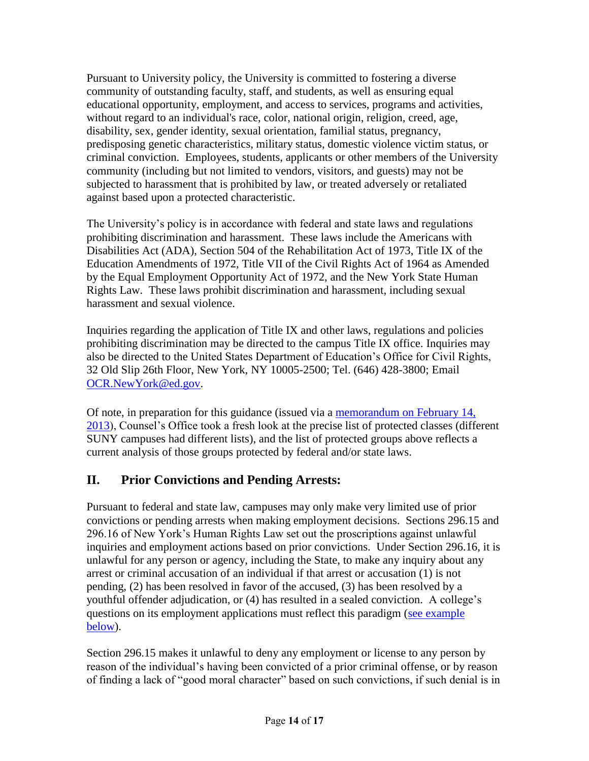Pursuant to University policy, the University is committed to fostering a diverse community of outstanding faculty, staff, and students, as well as ensuring equal educational opportunity, employment, and access to services, programs and activities, without regard to an individual's race, color, national origin, religion, creed, age, disability, sex, gender identity, sexual orientation, familial status, pregnancy, predisposing genetic characteristics, military status, domestic violence victim status, or criminal conviction. Employees, students, applicants or other members of the University community (including but not limited to vendors, visitors, and guests) may not be subjected to harassment that is prohibited by law, or treated adversely or retaliated against based upon a protected characteristic.

The University's policy is in accordance with federal and state laws and regulations prohibiting discrimination and harassment. These laws include the Americans with Disabilities Act (ADA), Section 504 of the Rehabilitation Act of 1973, Title IX of the Education Amendments of 1972, Title VII of the Civil Rights Act of 1964 as Amended by the Equal Employment Opportunity Act of 1972, and the New York State Human Rights Law. These laws prohibit discrimination and harassment, including sexual harassment and sexual violence.

Inquiries regarding the application of Title IX and other laws, regulations and policies prohibiting discrimination may be directed to the campus Title IX office. Inquiries may also be directed to the United States Department of Education's Office for Civil Rights, 32 Old Slip 26th Floor, New York, NY 10005-2500; Tel. (646) 428-3800; Email [OCR.NewYork@ed.gov.](mailto:OCR.NewYork@ed.gov)

Of note, in preparation for this guidance (issued via a [memorandum on February 14,](http://system.suny.edu/media/suny/content-assets/documents/compliance/employee-relations/Legal-Issues-Surrounding-Employment-Searches-Guidance.pdf)  [2013\)](http://system.suny.edu/media/suny/content-assets/documents/compliance/employee-relations/Legal-Issues-Surrounding-Employment-Searches-Guidance.pdf), Counsel's Office took a fresh look at the precise list of protected classes (different SUNY campuses had different lists), and the list of protected groups above reflects a current analysis of those groups protected by federal and/or state laws.

# **II. Prior Convictions and Pending Arrests:**

Pursuant to federal and state law, campuses may only make very limited use of prior convictions or pending arrests when making employment decisions. Sections 296.15 and 296.16 of New York's Human Rights Law set out the proscriptions against unlawful inquiries and employment actions based on prior convictions. Under Section 296.16, it is unlawful for any person or agency, including the State, to make any inquiry about any arrest or criminal accusation of an individual if that arrest or accusation (1) is not pending, (2) has been resolved in favor of the accused, (3) has been resolved by a youthful offender adjudication, or (4) has resulted in a sealed conviction. A college's questions on its employment applications must reflect this paradigm (see example [below\)](http://system.suny.edu/compliance/topics/employee-hr-compliance/employment-searches-guidance/#sample).

Section 296.15 makes it unlawful to deny any employment or license to any person by reason of the individual's having been convicted of a prior criminal offense, or by reason of finding a lack of "good moral character" based on such convictions, if such denial is in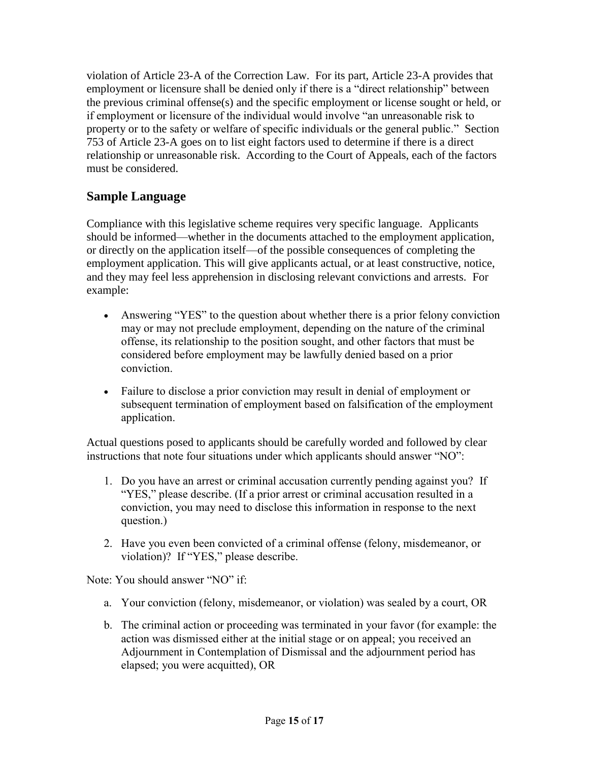violation of Article 23-A of the Correction Law. For its part, Article 23-A provides that employment or licensure shall be denied only if there is a "direct relationship" between the previous criminal offense(s) and the specific employment or license sought or held, or if employment or licensure of the individual would involve "an unreasonable risk to property or to the safety or welfare of specific individuals or the general public." Section 753 of Article 23-A goes on to list eight factors used to determine if there is a direct relationship or unreasonable risk. According to the Court of Appeals, each of the factors must be considered.

# **Sample Language**

Compliance with this legislative scheme requires very specific language. Applicants should be informed—whether in the documents attached to the employment application, or directly on the application itself—of the possible consequences of completing the employment application. This will give applicants actual, or at least constructive, notice, and they may feel less apprehension in disclosing relevant convictions and arrests. For example:

- Answering "YES" to the question about whether there is a prior felony conviction may or may not preclude employment, depending on the nature of the criminal offense, its relationship to the position sought, and other factors that must be considered before employment may be lawfully denied based on a prior conviction.
- Failure to disclose a prior conviction may result in denial of employment or subsequent termination of employment based on falsification of the employment application.

Actual questions posed to applicants should be carefully worded and followed by clear instructions that note four situations under which applicants should answer "NO":

- 1. Do you have an arrest or criminal accusation currently pending against you? If "YES," please describe. (If a prior arrest or criminal accusation resulted in a conviction, you may need to disclose this information in response to the next question.)
- 2. Have you even been convicted of a criminal offense (felony, misdemeanor, or violation)? If "YES," please describe.

Note: You should answer "NO" if:

- a. Your conviction (felony, misdemeanor, or violation) was sealed by a court, OR
- b. The criminal action or proceeding was terminated in your favor (for example: the action was dismissed either at the initial stage or on appeal; you received an Adjournment in Contemplation of Dismissal and the adjournment period has elapsed; you were acquitted), OR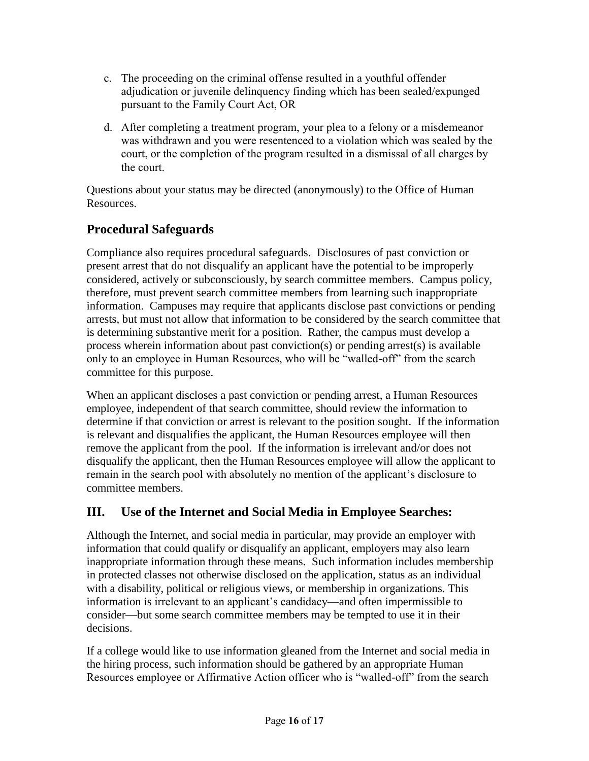- c. The proceeding on the criminal offense resulted in a youthful offender adjudication or juvenile delinquency finding which has been sealed/expunged pursuant to the Family Court Act, OR
- d. After completing a treatment program, your plea to a felony or a misdemeanor was withdrawn and you were resentenced to a violation which was sealed by the court, or the completion of the program resulted in a dismissal of all charges by the court.

Questions about your status may be directed (anonymously) to the Office of Human Resources.

# **Procedural Safeguards**

Compliance also requires procedural safeguards. Disclosures of past conviction or present arrest that do not disqualify an applicant have the potential to be improperly considered, actively or subconsciously, by search committee members. Campus policy, therefore, must prevent search committee members from learning such inappropriate information. Campuses may require that applicants disclose past convictions or pending arrests, but must not allow that information to be considered by the search committee that is determining substantive merit for a position. Rather, the campus must develop a process wherein information about past conviction(s) or pending arrest(s) is available only to an employee in Human Resources, who will be "walled-off" from the search committee for this purpose.

When an applicant discloses a past conviction or pending arrest, a Human Resources employee, independent of that search committee, should review the information to determine if that conviction or arrest is relevant to the position sought. If the information is relevant and disqualifies the applicant, the Human Resources employee will then remove the applicant from the pool. If the information is irrelevant and/or does not disqualify the applicant, then the Human Resources employee will allow the applicant to remain in the search pool with absolutely no mention of the applicant's disclosure to committee members.

# **III. Use of the Internet and Social Media in Employee Searches:**

Although the Internet, and social media in particular, may provide an employer with information that could qualify or disqualify an applicant, employers may also learn inappropriate information through these means. Such information includes membership in protected classes not otherwise disclosed on the application, status as an individual with a disability, political or religious views, or membership in organizations. This information is irrelevant to an applicant's candidacy—and often impermissible to consider—but some search committee members may be tempted to use it in their decisions.

If a college would like to use information gleaned from the Internet and social media in the hiring process, such information should be gathered by an appropriate Human Resources employee or Affirmative Action officer who is "walled-off" from the search